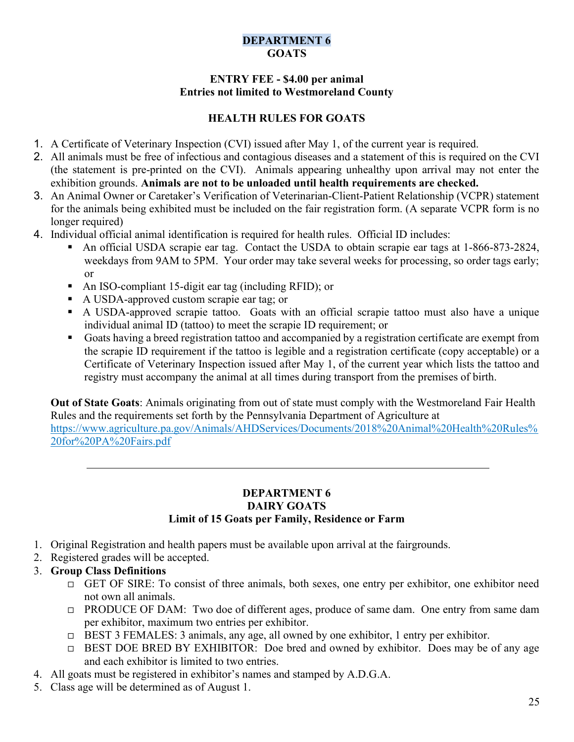## DEPARTMENT 6 GOATS

### ENTRY FEE - \$4.00 per animal Entries not limited to Westmoreland County

# HEALTH RULES FOR GOATS

- 1. A Certificate of Veterinary Inspection (CVI) issued after May 1, of the current year is required.
- 2. All animals must be free of infectious and contagious diseases and a statement of this is required on the CVI (the statement is pre-printed on the CVI). Animals appearing unhealthy upon arrival may not enter the exhibition grounds. Animals are not to be unloaded until health requirements are checked.
- 3. An Animal Owner or Caretaker's Verification of Veterinarian-Client-Patient Relationship (VCPR) statement for the animals being exhibited must be included on the fair registration form. (A separate VCPR form is no longer required)
- 4. Individual official animal identification is required for health rules. Official ID includes:
	- An official USDA scrapie ear tag. Contact the USDA to obtain scrapie ear tags at 1-866-873-2824, weekdays from 9AM to 5PM. Your order may take several weeks for processing, so order tags early; or
	- An ISO-compliant 15-digit ear tag (including RFID); or
	- A USDA-approved custom scrapie ear tag; or
	- A USDA-approved scrapie tattoo. Goats with an official scrapie tattoo must also have a unique individual animal ID (tattoo) to meet the scrapie ID requirement; or
	- Goats having a breed registration tattoo and accompanied by a registration certificate are exempt from the scrapie ID requirement if the tattoo is legible and a registration certificate (copy acceptable) or a Certificate of Veterinary Inspection issued after May 1, of the current year which lists the tattoo and registry must accompany the animal at all times during transport from the premises of birth.

Out of State Goats: Animals originating from out of state must comply with the Westmoreland Fair Health Rules and the requirements set forth by the Pennsylvania Department of Agriculture at https://www.agriculture.pa.gov/Animals/AHDServices/Documents/2018%20Animal%20Health%20Rules% 20for%20PA%20Fairs.pdf

### DEPARTMENT 6 DAIRY GOATS Limit of 15 Goats per Family, Residence or Farm

- 1. Original Registration and health papers must be available upon arrival at the fairgrounds.
- 2. Registered grades will be accepted.
- 3. Group Class Definitions
	- GET OF SIRE: To consist of three animals, both sexes, one entry per exhibitor, one exhibitor need not own all animals.
	- □ PRODUCE OF DAM: Two doe of different ages, produce of same dam. One entry from same dam per exhibitor, maximum two entries per exhibitor.
	- BEST 3 FEMALES: 3 animals, any age, all owned by one exhibitor, 1 entry per exhibitor.
	- BEST DOE BRED BY EXHIBITOR: Doe bred and owned by exhibitor. Does may be of any age and each exhibitor is limited to two entries.
- 4. All goats must be registered in exhibitor's names and stamped by A.D.G.A.
- 5. Class age will be determined as of August 1.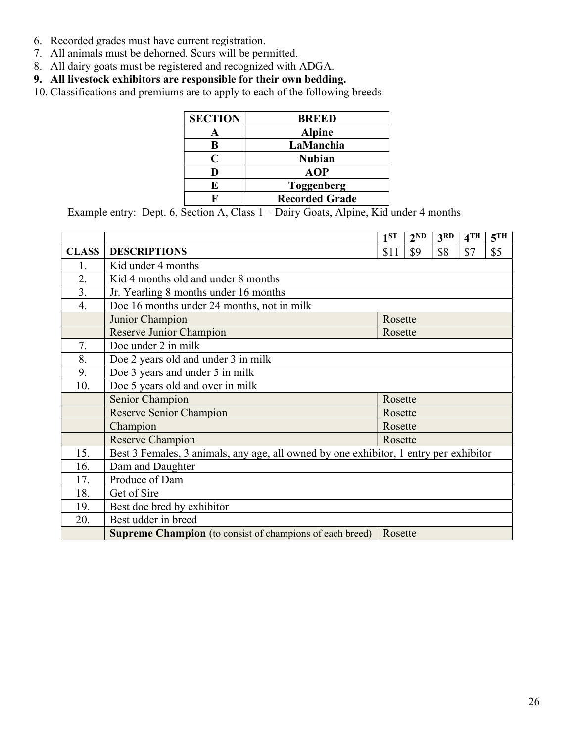- 6. Recorded grades must have current registration.
- 7. All animals must be dehorned. Scurs will be permitted.
- 8. All dairy goats must be registered and recognized with ADGA.
- 9. All livestock exhibitors are responsible for their own bedding.
- 10. Classifications and premiums are to apply to each of the following breeds:

| <b>SECTION</b> | <b>BREED</b>          |
|----------------|-----------------------|
|                | <b>Alpine</b>         |
| R              | LaManchia             |
| C              | <b>Nubian</b>         |
|                | <b>AOP</b>            |
| E              | <b>Toggenberg</b>     |
|                | <b>Recorded Grade</b> |

Example entry: Dept. 6, Section A, Class 1 – Dairy Goats, Alpine, Kid under 4 months

|                  |                                                                                       | 1 <sup>ST</sup> | 2 <sub>ND</sub> | 3 <sup>RD</sup> | 4TH | 5TH |  |  |
|------------------|---------------------------------------------------------------------------------------|-----------------|-----------------|-----------------|-----|-----|--|--|
| <b>CLASS</b>     | <b>DESCRIPTIONS</b>                                                                   | \$11            | \$9             | \$8             | \$7 | \$5 |  |  |
| 1.               | Kid under 4 months                                                                    |                 |                 |                 |     |     |  |  |
| 2.               | Kid 4 months old and under 8 months                                                   |                 |                 |                 |     |     |  |  |
| 3.               | Jr. Yearling 8 months under 16 months                                                 |                 |                 |                 |     |     |  |  |
| $\overline{4}$ . | Doe 16 months under 24 months, not in milk                                            |                 |                 |                 |     |     |  |  |
|                  | Junior Champion<br>Rosette                                                            |                 |                 |                 |     |     |  |  |
|                  | Reserve Junior Champion                                                               | Rosette         |                 |                 |     |     |  |  |
| 7.               | Doe under 2 in milk                                                                   |                 |                 |                 |     |     |  |  |
| 8.               | Doe 2 years old and under 3 in milk                                                   |                 |                 |                 |     |     |  |  |
| 9.               | Doe 3 years and under 5 in milk                                                       |                 |                 |                 |     |     |  |  |
| 10.              | Doe 5 years old and over in milk                                                      |                 |                 |                 |     |     |  |  |
|                  | Senior Champion                                                                       | Rosette         |                 |                 |     |     |  |  |
|                  | Reserve Senior Champion                                                               | Rosette         |                 |                 |     |     |  |  |
|                  | Champion                                                                              | Rosette         |                 |                 |     |     |  |  |
|                  | <b>Reserve Champion</b>                                                               | Rosette         |                 |                 |     |     |  |  |
| 15.              | Best 3 Females, 3 animals, any age, all owned by one exhibitor, 1 entry per exhibitor |                 |                 |                 |     |     |  |  |
| 16.              | Dam and Daughter                                                                      |                 |                 |                 |     |     |  |  |
| 17.              | Produce of Dam                                                                        |                 |                 |                 |     |     |  |  |
| 18.              | Get of Sire                                                                           |                 |                 |                 |     |     |  |  |
| 19.              | Best doe bred by exhibitor                                                            |                 |                 |                 |     |     |  |  |
| 20.              | Best udder in breed                                                                   |                 |                 |                 |     |     |  |  |
|                  | <b>Supreme Champion</b> (to consist of champions of each breed)                       | <b>Rosette</b>  |                 |                 |     |     |  |  |